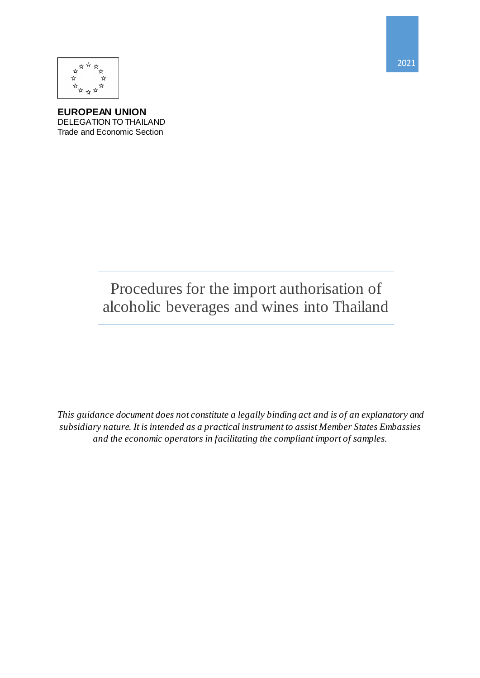



**EUROPEAN UNION** DELEGATION TO THAILAND Trade and Economic Section

> Procedures for the import authorisation of alcoholic beverages and wines into Thailand

*This guidance document does not constitute a legally binding act and is of an explanatory and subsidiary nature. It is intended as a practical instrument to assist Member States Embassies and the economic operators in facilitating the compliant import of samples.*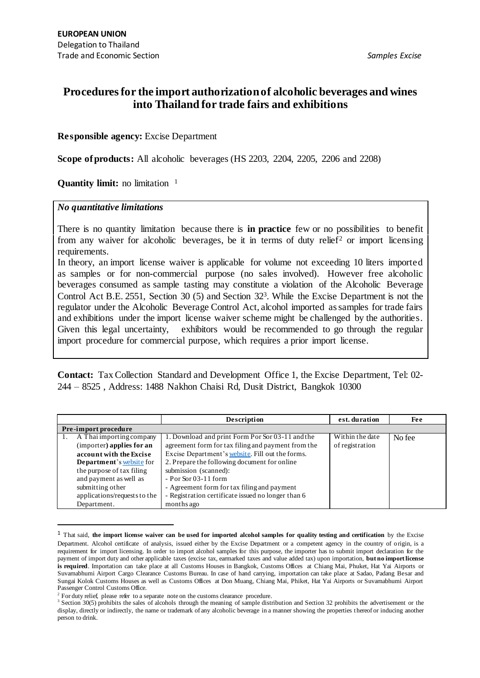# **Procedures for the import authorization of alcoholic beverages and wines into Thailand for trade fairs and exhibitions**

#### **Responsible agency:** Excise Department

**Scope of products:** All alcoholic beverages (HS 2203, 2204, 2205, 2206 and 2208)

**Quantity limit:** no limitation <sup>1</sup>

#### *No quantitative limitations*

1

There is no quantity limitation because there is **in practice** few or no possibilities to benefit from any waiver for alcoholic beverages, be it in terms of duty relief<sup>2</sup> or import licensing requirements.

In theory, an import license waiver is applicable for volume not exceeding 10 liters imported as samples or for non-commercial purpose (no sales involved). However free alcoholic beverages consumed as sample tasting may constitute a violation of the Alcoholic Beverage Control Act B.E. 2551, Section 30 (5) and Section 32<sup>3</sup> . While the Excise Department is not the regulator under the Alcoholic Beverage Control Act, alcohol imported as samples for trade fairs and exhibitions under the import license waiver scheme might be challenged by the authorities. Given this legal uncertainty, exhibitors would be recommended to go through the regular import procedure for commercial purpose, which requires a prior import license.

**Contact:** Tax Collection Standard and Development Office 1, the Excise Department, Tel: 02- 244 – 8525 , Address: 1488 Nakhon Chaisi Rd, Dusit District, Bangkok 10300

|                              | Description                                        | est. duration   | <b>Fee</b> |  |  |
|------------------------------|----------------------------------------------------|-----------------|------------|--|--|
| Pre-import procedure         |                                                    |                 |            |  |  |
| A Thai importing company     | 1. Download and print Form Por Sor 03-11 and the   | Within the date | No fee     |  |  |
| (importer) applies for an    | agreement form for tax filing and payment from the | of registration |            |  |  |
| account with the Excise      | Excise Department's website. Fill out the forms.   |                 |            |  |  |
| Department's website for     | 2. Prepare the following document for online       |                 |            |  |  |
| the purpose of tax filing    | submission (scanned):                              |                 |            |  |  |
| and payment as well as       | $-$ Por Sor 03-11 form                             |                 |            |  |  |
| submitting other             | - Agreement form for tax filing and payment        |                 |            |  |  |
| applications/requests to the | - Registration certificate issued no longer than 6 |                 |            |  |  |
| Department.                  | months ago                                         |                 |            |  |  |

<sup>1</sup> That said, **the import license waiver can be used for imported alcohol samples for quality testing and certification** by the Excise Department. Alcohol certificate of analysis, issued either by the Excise Department or a competent agency in the country of origin, is a requirement for import licensing. In order to import alcohol samples for this purpose, the importer has to submit import declaration for the payment of import duty and other applicable taxes (excise tax, earmarked taxes and value added tax) upon importation, **but no import license is required**. Importation can take place at all Customs Houses in Bangkok, Customs Offices at Chiang Mai, Phuket, Hat Yai Airports or Suvarnabhumi Airport Cargo Clearance Customs Bureau. In case of hand carrying, importation can take place at Sadao, Padang Besar and Sungai Kolok Customs Houses as well as Customs Offices at Don Muang, Chiang Mai, Phiket, Hat Yai Airports or Suvarnabhumi Airport Passenger Control Customs Office.

<sup>&</sup>lt;sup>2</sup> For duty relief, please refer to a separate note on the customs clearance procedure.

<sup>&</sup>lt;sup>3</sup> Section 30(5) prohibits the sales of alcohols through the meaning of sample distribution and Section 32 prohibits the advertisement or the display, directly or indirectly, the name or trademark of any alcoholic beverage in a manner showing the properties thereof or inducing another person to drink.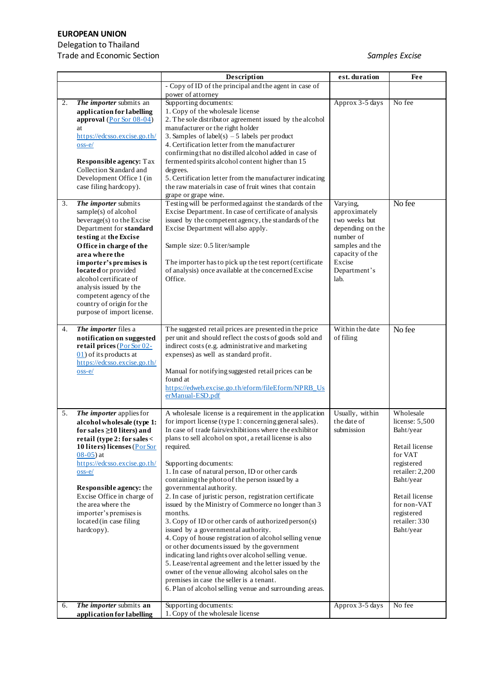## **EUROPEAN UNION**

## Delegation to Thailand

Trade and Economic Section *Samples Excise*

|          |                                                                                                                                                                                                                                                                                                                                                                                                                                                                     | Description                                                                                                                                                                                                                                                                                                                                                                                                                                                                                                                                                                                                                                                                                                                                                                                                                                                                                                                                                                                                                  | est. duration                                                                                                                                  | <b>Fee</b>                                                                                                                                                                                       |
|----------|---------------------------------------------------------------------------------------------------------------------------------------------------------------------------------------------------------------------------------------------------------------------------------------------------------------------------------------------------------------------------------------------------------------------------------------------------------------------|------------------------------------------------------------------------------------------------------------------------------------------------------------------------------------------------------------------------------------------------------------------------------------------------------------------------------------------------------------------------------------------------------------------------------------------------------------------------------------------------------------------------------------------------------------------------------------------------------------------------------------------------------------------------------------------------------------------------------------------------------------------------------------------------------------------------------------------------------------------------------------------------------------------------------------------------------------------------------------------------------------------------------|------------------------------------------------------------------------------------------------------------------------------------------------|--------------------------------------------------------------------------------------------------------------------------------------------------------------------------------------------------|
|          |                                                                                                                                                                                                                                                                                                                                                                                                                                                                     | - Copy of ID of the principal and the agent in case of                                                                                                                                                                                                                                                                                                                                                                                                                                                                                                                                                                                                                                                                                                                                                                                                                                                                                                                                                                       |                                                                                                                                                |                                                                                                                                                                                                  |
|          |                                                                                                                                                                                                                                                                                                                                                                                                                                                                     | power of attorney                                                                                                                                                                                                                                                                                                                                                                                                                                                                                                                                                                                                                                                                                                                                                                                                                                                                                                                                                                                                            |                                                                                                                                                |                                                                                                                                                                                                  |
| 2.<br>3. | The importer submits an<br>application for labelling<br>approval $(Por Sor 08-04)$<br>at<br>https://edcsso.excise.go.th/<br>$\cos$ -e/<br><b>Responsible agency:</b> Tax<br>Collection Standard and<br>Development Office 1 (in<br>case filing hardcopy).<br>The importer submits<br>$sample(s)$ of alcohol<br>beverage(s) to the Excise<br>Department for standard<br>testing at the Excise<br>Office in charge of the<br>area where the<br>importer's premises is | Supporting documents:<br>1. Copy of the wholesale license<br>2. The sole distributor agreement issued by the alcohol<br>manufacturer or the right holder<br>3. Samples of label(s) $-5$ labels per product<br>4. Certification letter from the manufacturer<br>confirming that no distilled alcohol added in case of<br>fermented spirits alcohol content higher than 15<br>degrees.<br>5. Certification letter from the manufacturer indicating<br>the raw materials in case of fruit wines that contain<br>grape or grape wine.<br>Testing will be performed against the standards of the<br>Excise Department. In case of certificate of analysis<br>issued by the competent agency, the standards of the<br>Excise Department will also apply.<br>Sample size: 0.5 liter/sample<br>The importer has to pick up the test report (certificate                                                                                                                                                                              | Approx 3-5 days<br>Varying,<br>approximately<br>two weeks but<br>depending on the<br>number of<br>samples and the<br>capacity of the<br>Excise | No fee<br>No fee                                                                                                                                                                                 |
|          | located or provided<br>alcohol certificate of<br>analysis issued by the<br>competent agency of the<br>country of origin for the<br>purpose of import license.                                                                                                                                                                                                                                                                                                       | of analysis) once available at the concerned Excise<br>Office.                                                                                                                                                                                                                                                                                                                                                                                                                                                                                                                                                                                                                                                                                                                                                                                                                                                                                                                                                               | Department's<br>lab.                                                                                                                           |                                                                                                                                                                                                  |
| 4.       | The importer files a<br>notification on suggested<br>retail prices (Por Sor 02-<br>$(01)$ of its products at<br>https://edcsso.excise.go.th/<br>$\cos$ -e $/$                                                                                                                                                                                                                                                                                                       | The suggested retail prices are presented in the price<br>per unit and should reflect the costs of goods sold and<br>indirect costs (e.g. administrative and marketing<br>expenses) as well as standard profit.<br>Manual for notifying suggested retail prices can be<br>found at<br>https://edweb.excise.go.th/eform/fileEform/NPRB_Us<br>erManual-ESD.pdf                                                                                                                                                                                                                                                                                                                                                                                                                                                                                                                                                                                                                                                                 | Within the date<br>of filing                                                                                                                   | No fee                                                                                                                                                                                           |
| 5.       | The importer applies for<br>alcohol wholesale (type 1:<br>for sales $\geq$ 10 liters) and<br>retail (type 2: for sales <<br>10 liters) licenses (Por Sor<br>$08-05$ ) at<br>https://edcsso.excise.go.th/<br>$\cos$ -e/<br><b>Responsible agency:</b> the<br>Excise Office in charge of<br>the area where the<br>importer's premises is<br>located (in case filing<br>hardcopy).                                                                                     | A wholesale license is a requirement in the application<br>for import license (type 1: concerning general sales).<br>In case of trade fairs/exhibitions where the exhibitor<br>plans to sell alcohol on spot, a retail license is also<br>required.<br>Supporting documents:<br>1. In case of natural person, ID or other cards<br>containing the photo of the person issued by a<br>governmental authority.<br>2. In case of juristic person, registration certificate<br>issued by the Ministry of Commerce no longer than 3<br>months.<br>3. Copy of ID or other cards of authorized person(s)<br>issued by a governmental authority.<br>4. Copy of house registration of alcohol selling venue<br>or other documents issued by the government<br>indicating land rights over alcohol selling venue.<br>5. Lease/rental agreement and the letter issued by the<br>owner of the venue allowing alcohol sales on the<br>premises in case the seller is a tenant.<br>6. Plan of alcohol selling venue and surrounding areas. | Usually, within<br>the date of<br>submission                                                                                                   | Wholesale<br>license: 5,500<br>Baht/year<br>Retail license<br>for VAT<br>registered<br>retailer: 2,200<br>Baht/year<br>Retail license<br>for non-VAT<br>registered<br>retailer: 330<br>Baht/year |
| 6.       | The importer submits an<br>application for labelling                                                                                                                                                                                                                                                                                                                                                                                                                | Supporting documents:<br>1. Copy of the wholesale license                                                                                                                                                                                                                                                                                                                                                                                                                                                                                                                                                                                                                                                                                                                                                                                                                                                                                                                                                                    | Approx 3-5 days                                                                                                                                | No fee                                                                                                                                                                                           |